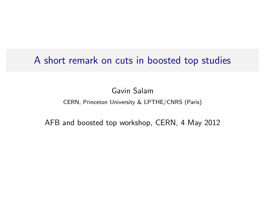## A short remark on cuts in boosted top studies

Gavin Salam

## CERN, Princeton University & LPTHE/CNRS (Paris)

<span id="page-0-0"></span>AFB and boosted top workshop, CERN, 4 May 2012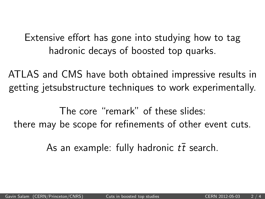Extensive effort has gone into studying how to tag hadronic decays of boosted top quarks.

ATLAS and CMS have both obtained impressive results in getting jetsubstructure techniques to work experimentally.

The core "remark" of these slides: there may be scope for refinements of other event cuts.

As an example: fully hadronic  $t\bar{t}$  search.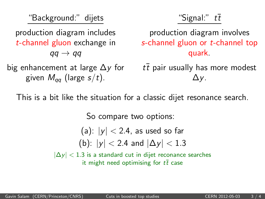"Background:" dijets

production diagram includes t-channel gluon exchange in  $qq \rightarrow qq$ 

big enhancement at large ∆y for given  $M_{\text{qq}}$  (large  $s/t$ ).

"Signal:"  $t\bar{t}$ 

production diagram involves s-channel gluon or t-channel top quark.

 $t\bar{t}$  pair usually has more modest  $\Delta y$ .

This is a bit like the situation for a classic dijet resonance search.

So compare two options:

(a):  $|y| < 2.4$ , as used so far (b):  $|v| < 2.4$  and  $|\Delta v| < 1.3$ 

 $|\Delta v| < 1.3$  is a standard cut in dijet reconance searches it might need optimising for  $t\bar{t}$  case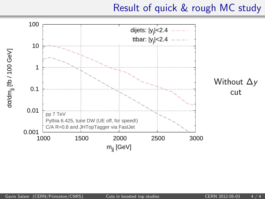## Result of quick & rough MC study

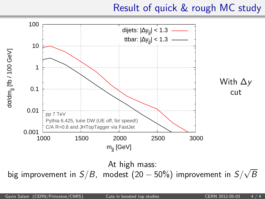Result of quick & rough MC study



big improvement in  $S/B$ , modest  $(20 - 50\%)$  improvement in  $S/\sqrt{B}$